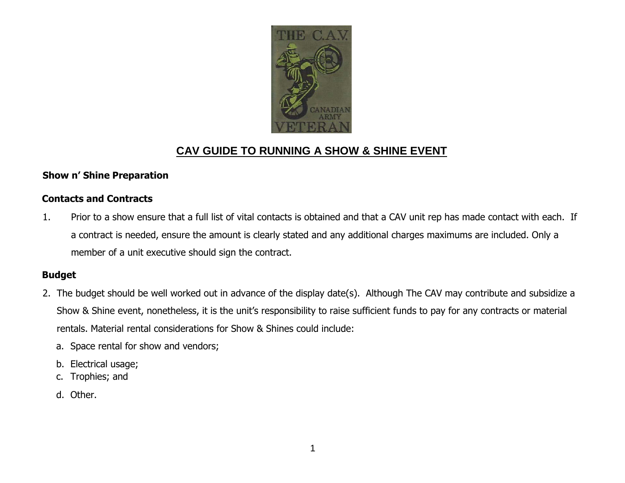

# CAV GUIDE TO RUNNING A SHOW & SHINE EVENT

#### **Show n' Shine Preparation**

### **Contacts and Contracts**

1. Prior to a show ensure that a full list of vital contacts is obtained and that a CAV unit rep has made contact with each. If a contract is needed, ensure the amount is clearly stated and any additional charges maximums are included. Only a member of a unit executive should sign the contract.

### **Budget**

- 2. The budget should be well worked out in advance of the display date(s). Although The CAV may contribute and subsidize a Show & Shine event, nonetheless, it is the unit's responsibility to raise sufficient funds to pay for any contracts or material rentals. Material rental considerations for Show & Shines could include:
	- a. Space rental for show and vendors;
	- b. Electrical usage;
	- c. Trophies; and
	- d. Other.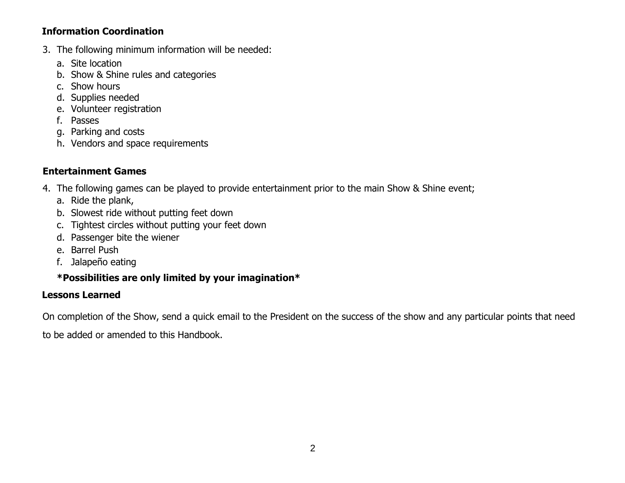### **Information Coordination**

- 3. The following minimum information will be needed:
	- a. Site location
	- b. Show & Shine rules and categories
	- c. Show hours
	- d. Supplies needed
	- e. Volunteer registration
	- f. Passes
	- g. Parking and costs
	- h. Vendors and space requirements

## **Entertainment Games**

- 4. The following games can be played to provide entertainment prior to the main Show & Shine event;
	- a. Ride the plank,
	- b. Slowest ride without putting feet down
	- c. Tightest circles without putting your feet down
	- d. Passenger bite the wiener
	- e. Barrel Push
	- f. Jalapeño eating

## **\*Possibilities are only limited by your imagination\***

## **Lessons Learned**

On completion of the Show, send a quick email to the President on the success of the show and any particular points that need

to be added or amended to this Handbook.